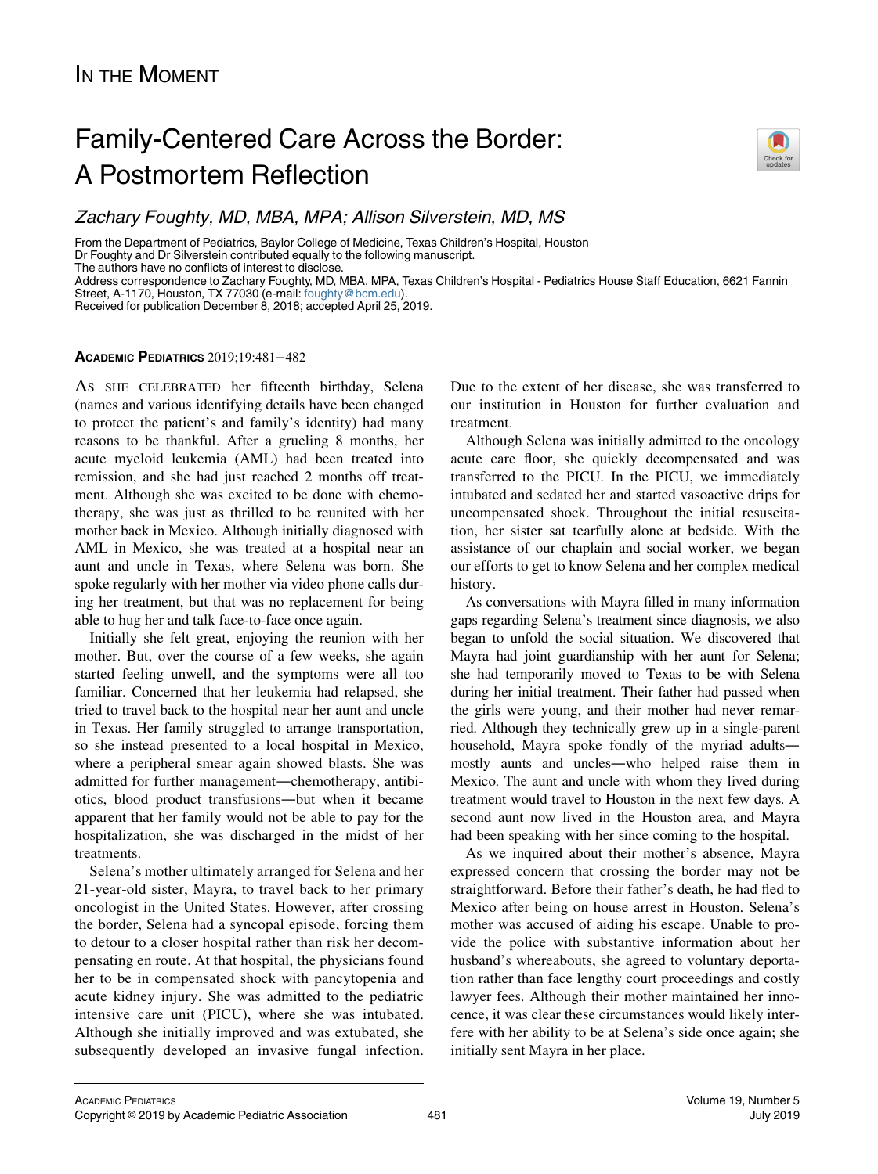## Family-Centered Care Across the Border: A Postmortem Reflection

From the Department of Pediatrics, Baylor College of Medicine, Texas Children's Hospital, Houston

Dr Foughty and Dr Silverstein contributed equally to the following manuscript.

The authors have no conflicts of interest to disclose.

Address correspondence to Zachary Foughty, MD, MBA, MPA, Texas Children's Hospital - Pediatrics House Staff Education, 6621 Fannin Street, A-1170, Houston, TX 77030 (e-mail: [foughty@bcm.edu](mailto:foughty@bcm.edu)).

Received for publication December 8, 2018; accepted April 25, 2019.

## ACADEMIC PEDIATRICS 2019;19:481−482

AS SHE CELEBRATED her fifteenth birthday, Selena (names and various identifying details have been changed to protect the patient's and family's identity) had many reasons to be thankful. After a grueling 8 months, her acute myeloid leukemia (AML) had been treated into remission, and she had just reached 2 months off treatment. Although she was excited to be done with chemotherapy, she was just as thrilled to be reunited with her mother back in Mexico. Although initially diagnosed with AML in Mexico, she was treated at a hospital near an aunt and uncle in Texas, where Selena was born. She spoke regularly with her mother via video phone calls during her treatment, but that was no replacement for being able to hug her and talk face-to-face once again.

Initially she felt great, enjoying the reunion with her mother. But, over the course of a few weeks, she again started feeling unwell, and the symptoms were all too familiar. Concerned that her leukemia had relapsed, she tried to travel back to the hospital near her aunt and uncle in Texas. Her family struggled to arrange transportation, so she instead presented to a local hospital in Mexico, where a peripheral smear again showed blasts. She was admitted for further management—chemotherapy, antibiotics, blood product transfusions—but when it became apparent that her family would not be able to pay for the hospitalization, she was discharged in the midst of her treatments.

Selena's mother ultimately arranged for Selena and her 21-year-old sister, Mayra, to travel back to her primary oncologist in the United States. However, after crossing the border, Selena had a syncopal episode, forcing them to detour to a closer hospital rather than risk her decompensating en route. At that hospital, the physicians found her to be in compensated shock with pancytopenia and acute kidney injury. She was admitted to the pediatric intensive care unit (PICU), where she was intubated. Although she initially improved and was extubated, she subsequently developed an invasive fungal infection.

Due to the extent of her disease, she was transferred to our institution in Houston for further evaluation and treatment.

Although Selena was initially admitted to the oncology acute care floor, she quickly decompensated and was transferred to the PICU. In the PICU, we immediately intubated and sedated her and started vasoactive drips for uncompensated shock. Throughout the initial resuscitation, her sister sat tearfully alone at bedside. With the assistance of our chaplain and social worker, we began our efforts to get to know Selena and her complex medical history.

As conversations with Mayra filled in many information gaps regarding Selena's treatment since diagnosis, we also began to unfold the social situation. We discovered that Mayra had joint guardianship with her aunt for Selena; she had temporarily moved to Texas to be with Selena during her initial treatment. Their father had passed when the girls were young, and their mother had never remarried. Although they technically grew up in a single-parent household, Mayra spoke fondly of the myriad adults mostly aunts and uncles—who helped raise them in Mexico. The aunt and uncle with whom they lived during treatment would travel to Houston in the next few days. A second aunt now lived in the Houston area, and Mayra had been speaking with her since coming to the hospital.

As we inquired about their mother's absence, Mayra expressed concern that crossing the border may not be straightforward. Before their father's death, he had fled to Mexico after being on house arrest in Houston. Selena's mother was accused of aiding his escape. Unable to provide the police with substantive information about her husband's whereabouts, she agreed to voluntary deportation rather than face lengthy court proceedings and costly lawyer fees. Although their mother maintained her innocence, it was clear these circumstances would likely interfere with her ability to be at Selena's side once again; she initially sent Mayra in her place.